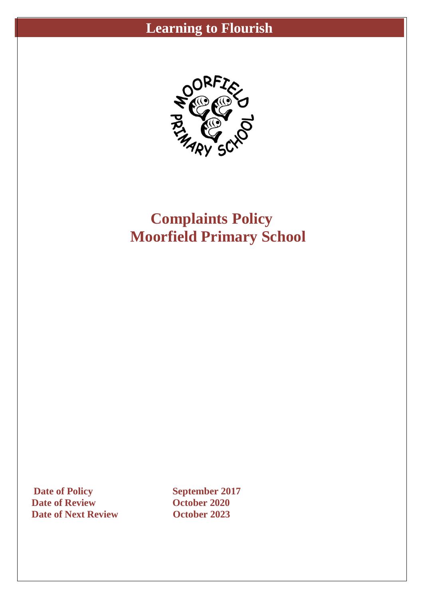

# **Complaints Policy Moorfield Primary School**

**Date of Policy**<br> **Date of Review**<br> **Date of Review**<br> **Date of Review**<br> **Date of Review**<br> **Date of Review Date of Review Date of Next Review Corober 2023**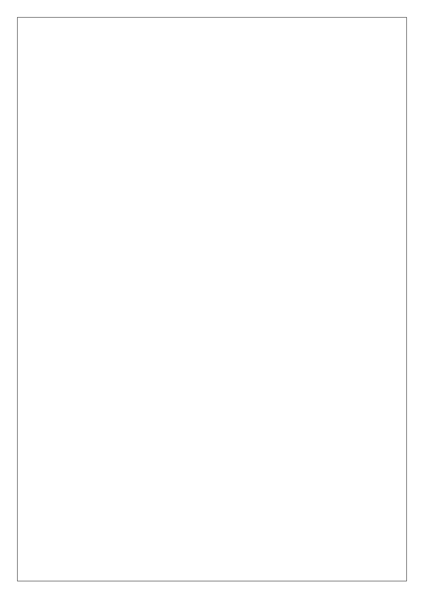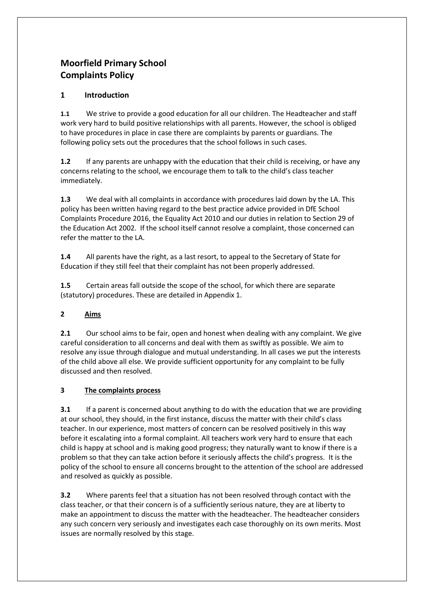# **Moorfield Primary School Complaints Policy**

### **1 Introduction**

**1.1** We strive to provide a good education for all our children. The Headteacher and staff work very hard to build positive relationships with all parents. However, the school is obliged to have procedures in place in case there are complaints by parents or guardians. The following policy sets out the procedures that the school follows in such cases.

**1.2** If any parents are unhappy with the education that their child is receiving, or have any concerns relating to the school, we encourage them to talk to the child's class teacher immediately.

**1.3** We deal with all complaints in accordance with procedures laid down by the LA. This policy has been written having regard to the best practice advice provided in DfE School Complaints Procedure 2016, the Equality Act 2010 and our duties in relation to Section 29 of the Education Act 2002. If the school itself cannot resolve a complaint, those concerned can refer the matter to the LA.

**1.4** All parents have the right, as a last resort, to appeal to the Secretary of State for Education if they still feel that their complaint has not been properly addressed.

**1.5** Certain areas fall outside the scope of the school, for which there are separate (statutory) procedures. These are detailed in Appendix 1.

#### **2 Aims**

**2.1** Our school aims to be fair, open and honest when dealing with any complaint. We give careful consideration to all concerns and deal with them as swiftly as possible. We aim to resolve any issue through dialogue and mutual understanding. In all cases we put the interests of the child above all else. We provide sufficient opportunity for any complaint to be fully discussed and then resolved.

#### **3 The complaints process**

**3.1** If a parent is concerned about anything to do with the education that we are providing at our school, they should, in the first instance, discuss the matter with their child's class teacher. In our experience, most matters of concern can be resolved positively in this way before it escalating into a formal complaint. All teachers work very hard to ensure that each child is happy at school and is making good progress; they naturally want to know if there is a problem so that they can take action before it seriously affects the child's progress. It is the policy of the school to ensure all concerns brought to the attention of the school are addressed and resolved as quickly as possible.

**3.2** Where parents feel that a situation has not been resolved through contact with the class teacher, or that their concern is of a sufficiently serious nature, they are at liberty to make an appointment to discuss the matter with the headteacher. The headteacher considers any such concern very seriously and investigates each case thoroughly on its own merits. Most issues are normally resolved by this stage.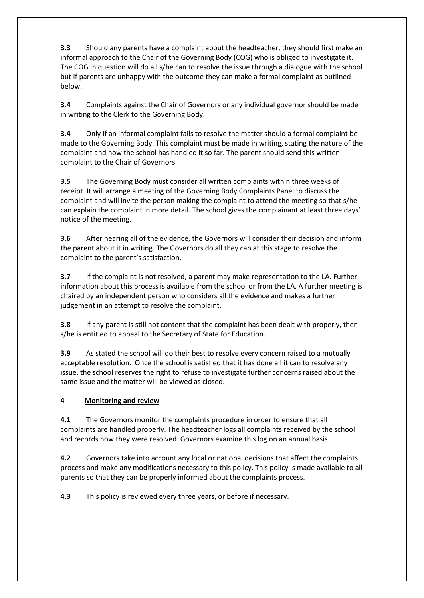**3.3** Should any parents have a complaint about the headteacher, they should first make an informal approach to the Chair of the Governing Body (COG) who is obliged to investigate it. The COG in question will do all s/he can to resolve the issue through a dialogue with the school but if parents are unhappy with the outcome they can make a formal complaint as outlined below.

**3.4** Complaints against the Chair of Governors or any individual governor should be made in writing to the Clerk to the Governing Body.

**3.4** Only if an informal complaint fails to resolve the matter should a formal complaint be made to the Governing Body. This complaint must be made in writing, stating the nature of the complaint and how the school has handled it so far. The parent should send this written complaint to the Chair of Governors.

**3.5** The Governing Body must consider all written complaints within three weeks of receipt. It will arrange a meeting of the Governing Body Complaints Panel to discuss the complaint and will invite the person making the complaint to attend the meeting so that s/he can explain the complaint in more detail. The school gives the complainant at least three days' notice of the meeting.

**3.6** After hearing all of the evidence, the Governors will consider their decision and inform the parent about it in writing. The Governors do all they can at this stage to resolve the complaint to the parent's satisfaction.

**3.7** If the complaint is not resolved, a parent may make representation to the LA. Further information about this process is available from the school or from the LA. A further meeting is chaired by an independent person who considers all the evidence and makes a further judgement in an attempt to resolve the complaint.

**3.8** If any parent is still not content that the complaint has been dealt with properly, then s/he is entitled to appeal to the Secretary of State for Education.

**3.9** As stated the school will do their best to resolve every concern raised to a mutually acceptable resolution. Once the school is satisfied that it has done all it can to resolve any issue, the school reserves the right to refuse to investigate further concerns raised about the same issue and the matter will be viewed as closed.

## **4 Monitoring and review**

**4.1** The Governors monitor the complaints procedure in order to ensure that all complaints are handled properly. The headteacher logs all complaints received by the school and records how they were resolved. Governors examine this log on an annual basis.

**4.2** Governors take into account any local or national decisions that affect the complaints process and make any modifications necessary to this policy. This policy is made available to all parents so that they can be properly informed about the complaints process.

**4.3** This policy is reviewed every three years, or before if necessary.